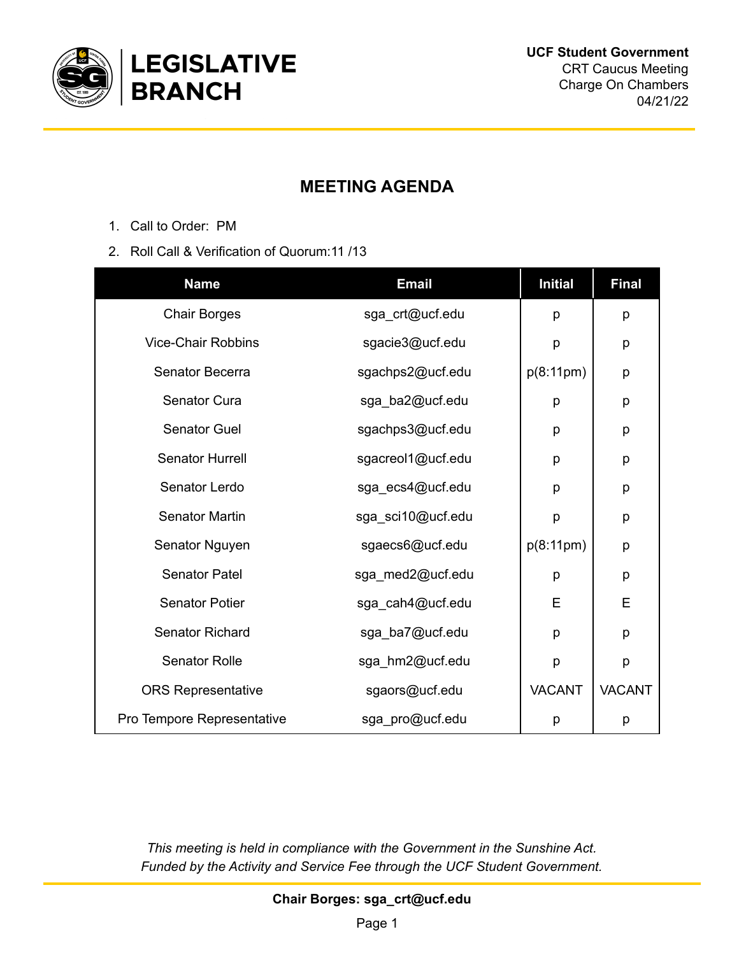

## **MEETING AGENDA**

- 1. Call to Order: PM
- 2. Roll Call & Verification of Quorum:11 /13

| <b>Name</b>                | <b>Email</b>      | <b>Initial</b> | <b>Final</b>  |
|----------------------------|-------------------|----------------|---------------|
| <b>Chair Borges</b>        | sga_crt@ucf.edu   | p              | p             |
| <b>Vice-Chair Robbins</b>  | sgacie3@ucf.edu   | p              | р             |
| Senator Becerra            | sgachps2@ucf.edu  | p(8:11pm)      | p             |
| Senator Cura               | sga_ba2@ucf.edu   | p              | p             |
| <b>Senator Guel</b>        | sgachps3@ucf.edu  | p              | р             |
| Senator Hurrell            | sgacreol1@ucf.edu | p              | p             |
| Senator Lerdo              | sga_ecs4@ucf.edu  | p              | р             |
| <b>Senator Martin</b>      | sga_sci10@ucf.edu | p              | р             |
| Senator Nguyen             | sgaecs6@ucf.edu   | p(8:11pm)      | p             |
| <b>Senator Patel</b>       | sga_med2@ucf.edu  | p              | р             |
| <b>Senator Potier</b>      | sga_cah4@ucf.edu  | E              | E             |
| <b>Senator Richard</b>     | sga_ba7@ucf.edu   | p              | р             |
| <b>Senator Rolle</b>       | sga_hm2@ucf.edu   | p              | p             |
| <b>ORS Representative</b>  | sgaors@ucf.edu    | <b>VACANT</b>  | <b>VACANT</b> |
| Pro Tempore Representative | sga_pro@ucf.edu   | p              | р             |

*This meeting is held in compliance with the Government in the Sunshine Act. Funded by the Activity and Service Fee through the UCF Student Government.*

**Chair Borges: sga\_crt@ucf.edu**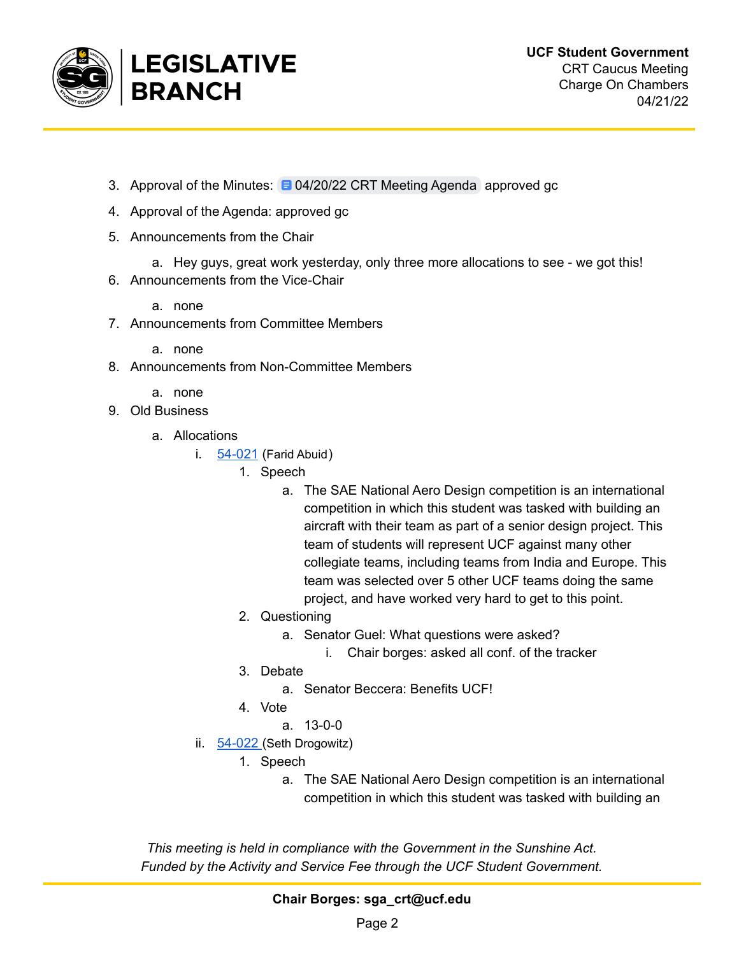

- 3. Approval of the Minutes: 0 [04/20/22](https://docs.google.com/document/d/1dYAaISsH_0GGIxQNYcJG_SZLaP3tNrD947uTW85TBnY/edit) CRT Meeting Agenda approved gc
- 4. Approval of the Agenda: approved gc
- 5. Announcements from the Chair
	- a. Hey guys, great work yesterday, only three more allocations to see we got this!
- 6. Announcements from the Vice-Chair
	- a. none
- 7. Announcements from Committee Members
	- a. none
- 8. Announcements from Non-Committee Members
	- a. none
- 9. Old Business
	- a. Allocations
		- i.  $54-021$  (Farid Abuid)
			- 1. Speech
				- a. The SAE National Aero Design competition is an international competition in which this student was tasked with building an aircraft with their team as part of a senior design project. This team of students will represent UCF against many other collegiate teams, including teams from India and Europe. This team was selected over 5 other UCF teams doing the same project, and have worked very hard to get to this point.
			- 2. Questioning
				- a. Senator Guel: What questions were asked?
					- i. Chair borges: asked all conf. of the tracker
			- 3. Debate
				- a. Senator Beccera: Benefits UCF!
			- 4. Vote
				- a. 13-0-0
		- ii. [54-022](https://drive.google.com/drive/folders/1Tspjaq-fUVANgwJ6I4nXVkAYPRS9BMWR) (Seth Drogowitz)
			- 1. Speech
				- a. The SAE National Aero Design competition is an international competition in which this student was tasked with building an

*This meeting is held in compliance with the Government in the Sunshine Act. Funded by the Activity and Service Fee through the UCF Student Government.*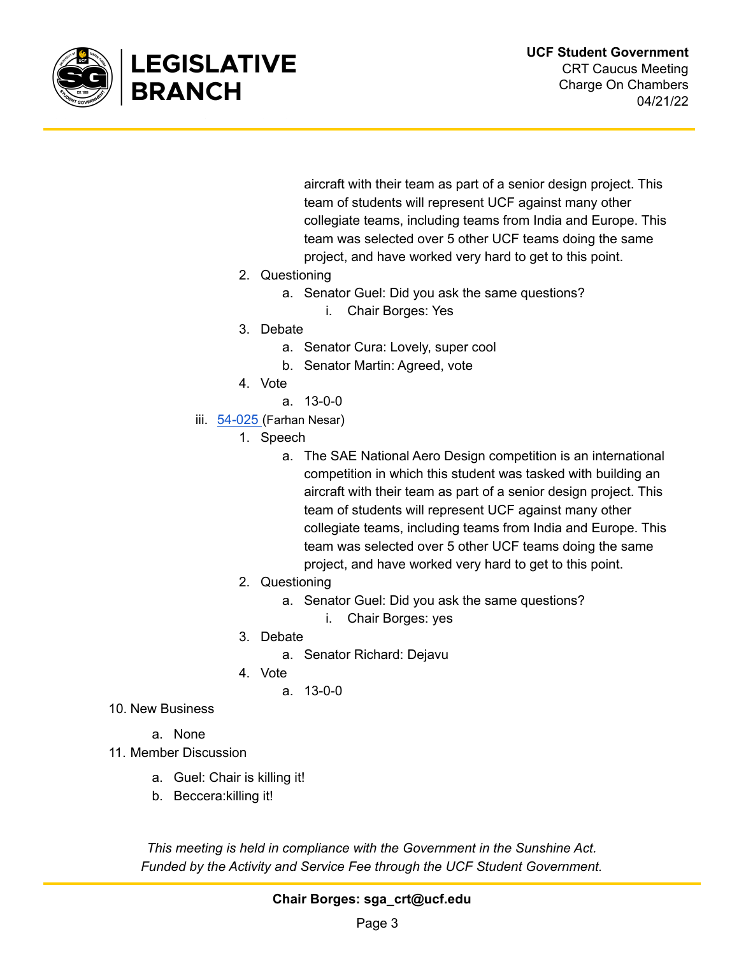

aircraft with their team as part of a senior design project. This team of students will represent UCF against many other collegiate teams, including teams from India and Europe. This team was selected over 5 other UCF teams doing the same project, and have worked very hard to get to this point.

- 2. Questioning
	- a. Senator Guel: Did you ask the same questions?
		- i. Chair Borges: Yes
- 3. Debate
	- a. Senator Cura: Lovely, super cool
	- b. Senator Martin: Agreed, vote
- 4. Vote
	- a. 13-0-0
- iii. [54-025](https://drive.google.com/drive/folders/1wePG1SrHGaJkJXwATrACAVsgfSPG20Ws) (Farhan Nesar)
	- 1. Speech
		- a. The SAE National Aero Design competition is an international competition in which this student was tasked with building an aircraft with their team as part of a senior design project. This team of students will represent UCF against many other collegiate teams, including teams from India and Europe. This team was selected over 5 other UCF teams doing the same project, and have worked very hard to get to this point.
	- 2. Questioning
		- a. Senator Guel: Did you ask the same questions?
			- i. Chair Borges: yes
	- 3. Debate
		- a. Senator Richard: Dejavu
	- 4. Vote
		- a. 13-0-0
- 10. New Business
	- a. None
- 11. Member Discussion
	- a. Guel: Chair is killing it!
	- b. Beccera:killing it!

*This meeting is held in compliance with the Government in the Sunshine Act. Funded by the Activity and Service Fee through the UCF Student Government.*